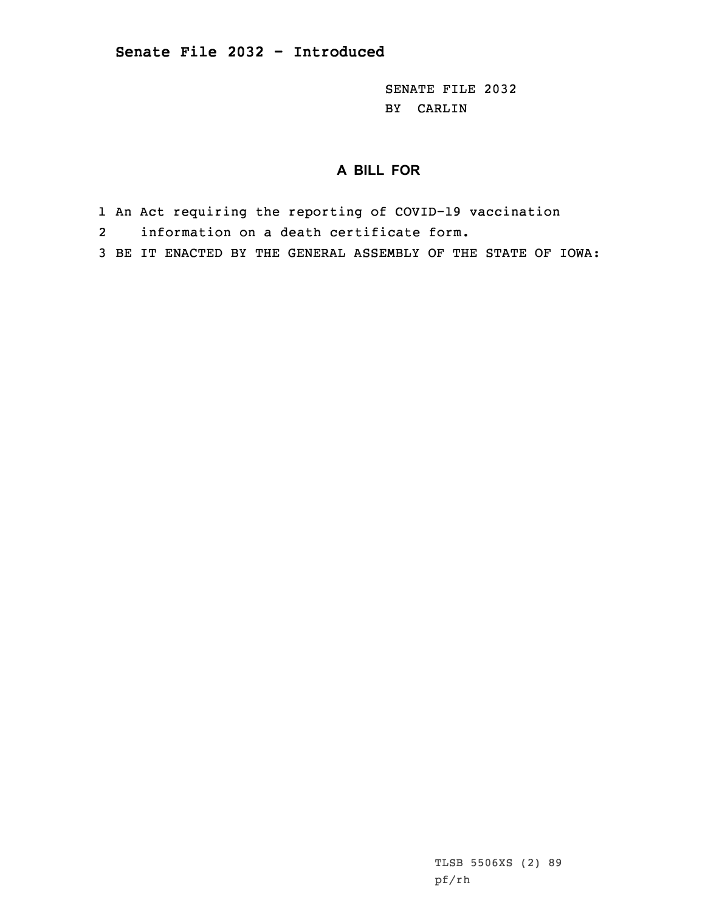SENATE FILE 2032 BY CARLIN

## **A BILL FOR**

- 1 An Act requiring the reporting of COVID-19 vaccination
- 2information on <sup>a</sup> death certificate form.
- 3 BE IT ENACTED BY THE GENERAL ASSEMBLY OF THE STATE OF IOWA:

TLSB 5506XS (2) 89 pf/rh